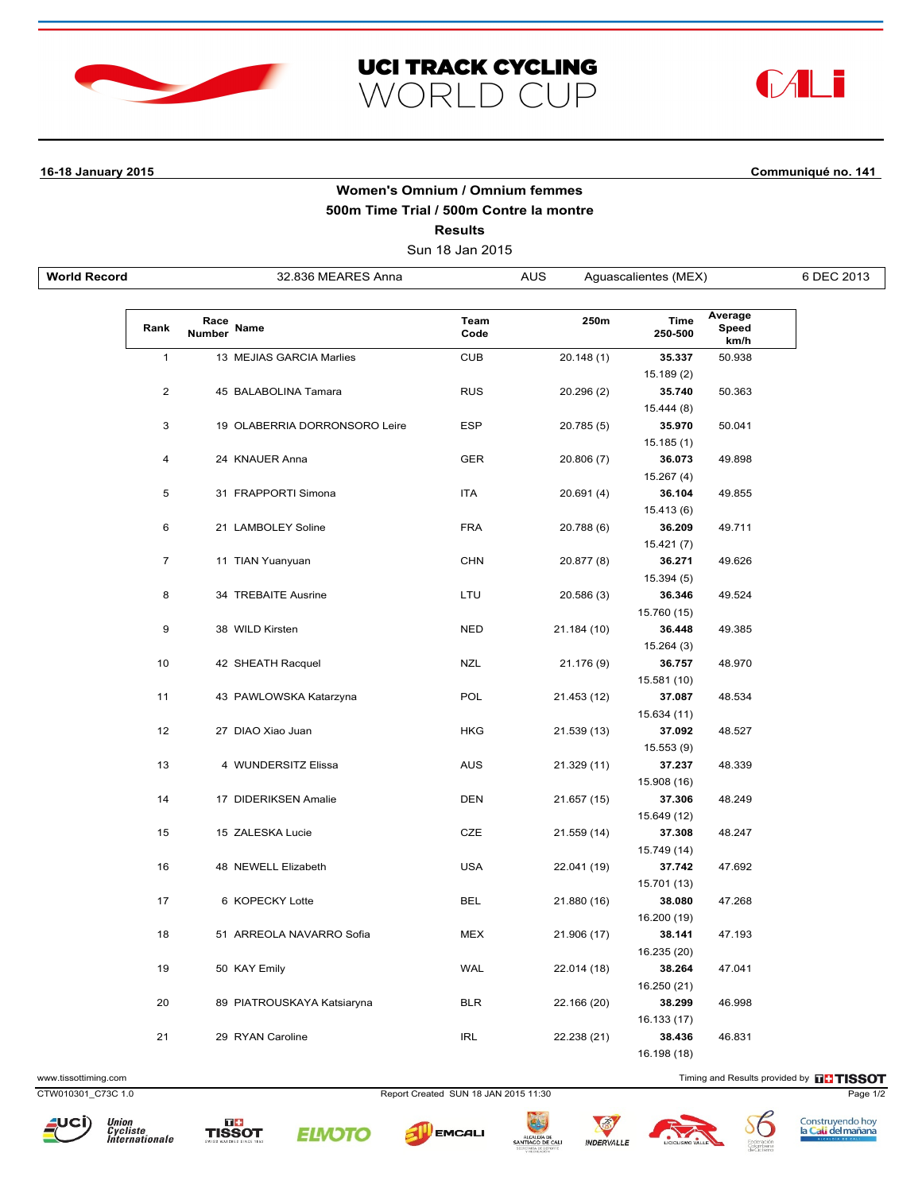





## **16-18 January 2015 Communiqué no. 141**

## **Women's Omnium / Omnium femmes 500m Time Trial / 500m Contre la montre Results**

Sun 18 Jan 2015

| <b>World Record</b> |                |                | 32.836 MEARES Anna            | <b>AUS</b><br>Aguascalientes (MEX) |             |                 | 6 DEC 2013               |  |
|---------------------|----------------|----------------|-------------------------------|------------------------------------|-------------|-----------------|--------------------------|--|
|                     |                |                |                               |                                    |             |                 |                          |  |
|                     | Rank           | Race<br>Number | Name                          | Team<br>Code                       | 250m        | Time<br>250-500 | Average<br>Speed<br>km/h |  |
|                     | $\mathbf{1}$   |                | 13 MEJIAS GARCIA Marlies      | <b>CUB</b>                         | 20.148(1)   | 35.337          | 50.938                   |  |
|                     |                |                |                               |                                    |             | 15.189 (2)      |                          |  |
|                     | $\overline{2}$ |                | 45 BALABOLINA Tamara          | <b>RUS</b>                         | 20.296 (2)  | 35.740          | 50.363                   |  |
|                     |                |                |                               |                                    |             | 15.444 (8)      |                          |  |
|                     | 3              |                | 19 OLABERRIA DORRONSORO Leire | <b>ESP</b>                         | 20.785 (5)  | 35.970          | 50.041                   |  |
|                     |                |                |                               |                                    |             | 15.185(1)       |                          |  |
|                     | 4              |                | 24 KNAUER Anna                | <b>GER</b>                         | 20.806 (7)  | 36.073          | 49.898                   |  |
|                     |                |                |                               |                                    |             | 15.267 (4)      |                          |  |
|                     | 5              |                | 31 FRAPPORTI Simona           | ITA                                | 20.691 (4)  | 36.104          | 49.855                   |  |
|                     |                |                |                               |                                    |             | 15.413 (6)      |                          |  |
|                     | 6              |                | 21 LAMBOLEY Soline            | <b>FRA</b>                         | 20.788 (6)  | 36.209          | 49.711                   |  |
|                     |                |                |                               |                                    |             | 15.421 (7)      |                          |  |
|                     | $\overline{7}$ |                | 11 TIAN Yuanyuan              | <b>CHN</b>                         | 20.877 (8)  | 36.271          | 49.626                   |  |
|                     |                |                |                               |                                    |             | 15.394 (5)      |                          |  |
|                     | 8              |                | 34 TREBAITE Ausrine           | LTU                                | 20.586 (3)  | 36.346          | 49.524                   |  |
|                     |                |                |                               |                                    |             | 15.760 (15)     |                          |  |
|                     | 9              |                | 38 WILD Kirsten               | <b>NED</b>                         | 21.184 (10) | 36.448          | 49.385                   |  |
|                     |                |                |                               |                                    |             | 15.264(3)       |                          |  |
|                     | 10             |                | 42 SHEATH Racquel             | <b>NZL</b>                         | 21.176 (9)  | 36.757          | 48.970                   |  |
|                     |                |                |                               |                                    |             | 15.581 (10)     |                          |  |
|                     | 11             |                | 43 PAWLOWSKA Katarzyna        | POL                                | 21.453 (12) | 37.087          | 48.534                   |  |
|                     |                |                |                               |                                    |             | 15.634 (11)     |                          |  |
|                     | 12             |                | 27 DIAO Xiao Juan             | <b>HKG</b>                         | 21.539 (13) | 37.092          | 48.527                   |  |
|                     |                |                |                               |                                    |             | 15.553 (9)      |                          |  |
|                     | 13             |                | 4 WUNDERSITZ Elissa           | <b>AUS</b>                         | 21.329 (11) | 37.237          | 48.339                   |  |
|                     |                |                |                               |                                    |             | 15.908 (16)     |                          |  |
|                     | 14             |                | 17 DIDERIKSEN Amalie          | <b>DEN</b>                         | 21.657 (15) | 37.306          | 48.249                   |  |
|                     |                |                |                               |                                    |             | 15.649 (12)     |                          |  |
|                     | 15             |                | 15 ZALESKA Lucie              | CZE                                | 21.559 (14) | 37.308          | 48.247                   |  |
|                     |                |                |                               |                                    |             | 15.749 (14)     |                          |  |
|                     | 16             |                | 48 NEWELL Elizabeth           | <b>USA</b>                         | 22.041 (19) | 37.742          | 47.692                   |  |
|                     |                |                |                               |                                    |             | 15.701 (13)     |                          |  |
|                     | 17             |                | 6 KOPECKY Lotte               | BEL                                | 21.880 (16) | 38.080          | 47.268                   |  |
|                     |                |                |                               |                                    |             | 16.200 (19)     |                          |  |
|                     | 18             |                | 51 ARREOLA NAVARRO Sofia      | <b>MEX</b>                         | 21.906 (17) | 38.141          | 47.193                   |  |
|                     |                |                |                               |                                    |             | 16.235 (20)     |                          |  |
|                     | 19             |                | 50 KAY Emily                  | <b>WAL</b>                         | 22.014 (18) | 38.264          | 47.041                   |  |
|                     |                |                |                               |                                    |             | 16.250 (21)     |                          |  |
|                     | 20             |                | 89 PIATROUSKAYA Katsiaryna    | <b>BLR</b>                         | 22.166 (20) | 38.299          | 46.998                   |  |
|                     |                |                |                               |                                    |             | 16.133 (17)     |                          |  |
|                     | 21             |                | 29 RYAN Caroline              | IRL                                | 22.238 (21) | 38.436          | 46.831                   |  |
|                     |                |                |                               |                                    |             | 16.198 (18)     |                          |  |

www.tissottiming.com **Timing and Results provided by FITISSOT** 

CTW010301\_C73C 1.0 Report Created SUN 18 JAN 2015 11:30 Page 1/2